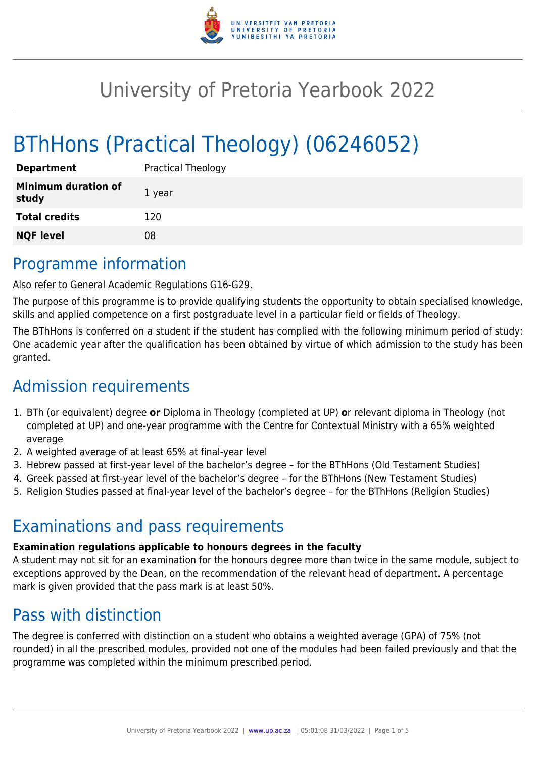

# University of Pretoria Yearbook 2022

# BThHons (Practical Theology) (06246052)

| <b>Department</b>                   | <b>Practical Theology</b> |
|-------------------------------------|---------------------------|
| <b>Minimum duration of</b><br>study | 1 year                    |
| <b>Total credits</b>                | 120                       |
| <b>NQF level</b>                    | 08                        |

# Programme information

Also refer to General Academic Regulations G16-G29.

The purpose of this programme is to provide qualifying students the opportunity to obtain specialised knowledge, skills and applied competence on a first postgraduate level in a particular field or fields of Theology.

The BThHons is conferred on a student if the student has complied with the following minimum period of study: One academic year after the qualification has been obtained by virtue of which admission to the study has been granted.

# Admission requirements

- 1. BTh (or equivalent) degree **or** Diploma in Theology (completed at UP) **o**r relevant diploma in Theology (not completed at UP) and one-year programme with the Centre for Contextual Ministry with a 65% weighted average
- 2. A weighted average of at least 65% at final-year level
- 3. Hebrew passed at first-year level of the bachelor's degree for the BThHons (Old Testament Studies)
- 4. Greek passed at first-year level of the bachelor's degree for the BThHons (New Testament Studies)
- 5. Religion Studies passed at final-year level of the bachelor's degree for the BThHons (Religion Studies)

# Examinations and pass requirements

#### **Examination regulations applicable to honours degrees in the faculty**

A student may not sit for an examination for the honours degree more than twice in the same module, subject to exceptions approved by the Dean, on the recommendation of the relevant head of department. A percentage mark is given provided that the pass mark is at least 50%.

# Pass with distinction

The degree is conferred with distinction on a student who obtains a weighted average (GPA) of 75% (not rounded) in all the prescribed modules, provided not one of the modules had been failed previously and that the programme was completed within the minimum prescribed period.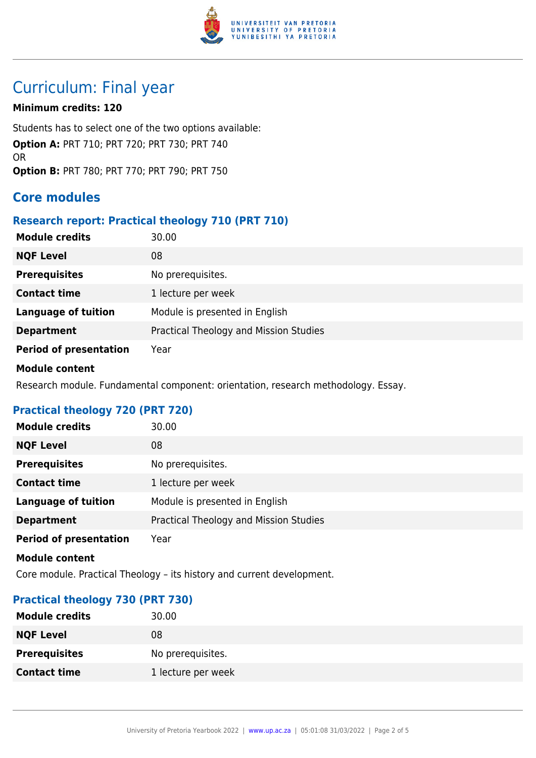

# Curriculum: Final year

### **Minimum credits: 120**

Students has to select one of the two options available: **Option A:** PRT 710; PRT 720; PRT 730; PRT 740 OR **Option B:** PRT 780; PRT 770; PRT 790; PRT 750

# **Core modules**

### **Research report: Practical theology 710 (PRT 710)**

| <b>Module credits</b>         | 30.00                                  |
|-------------------------------|----------------------------------------|
| <b>NQF Level</b>              | 08                                     |
| <b>Prerequisites</b>          | No prerequisites.                      |
| <b>Contact time</b>           | 1 lecture per week                     |
| <b>Language of tuition</b>    | Module is presented in English         |
| <b>Department</b>             | Practical Theology and Mission Studies |
| <b>Period of presentation</b> | Year                                   |

#### **Module content**

Research module. Fundamental component: orientation, research methodology. Essay.

# **Practical theology 720 (PRT 720)**

| <b>Module credits</b>         | 30.00                                  |
|-------------------------------|----------------------------------------|
| <b>NQF Level</b>              | 08                                     |
| <b>Prerequisites</b>          | No prerequisites.                      |
| <b>Contact time</b>           | 1 lecture per week                     |
| <b>Language of tuition</b>    | Module is presented in English         |
| <b>Department</b>             | Practical Theology and Mission Studies |
| <b>Period of presentation</b> | Year                                   |

#### **Module content**

Core module. Practical Theology – its history and current development.

### **Practical theology 730 (PRT 730)**

| <b>Module credits</b> | 30.00              |
|-----------------------|--------------------|
| <b>NQF Level</b>      | 08                 |
| <b>Prerequisites</b>  | No prerequisites.  |
| <b>Contact time</b>   | 1 lecture per week |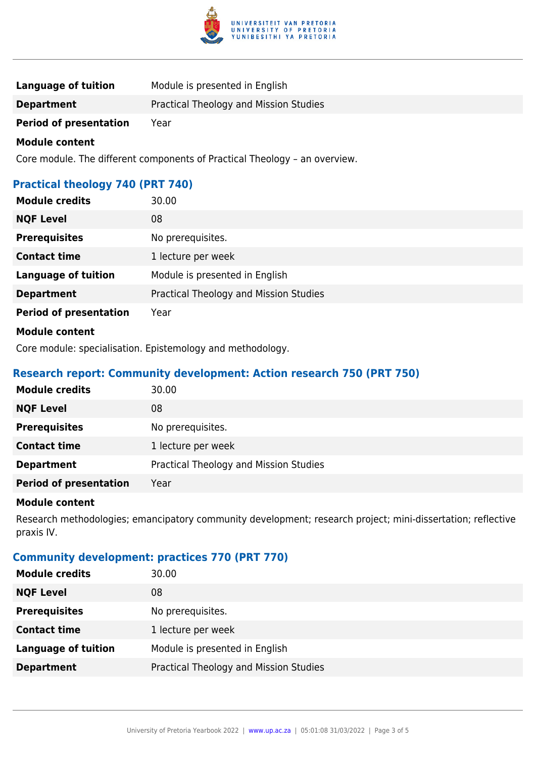

| Language of tuition           | Module is presented in English         |
|-------------------------------|----------------------------------------|
| <b>Department</b>             | Practical Theology and Mission Studies |
| <b>Period of presentation</b> | Year                                   |

#### **Module content**

Core module. The different components of Practical Theology – an overview.

# **Practical theology 740 (PRT 740)**

| <b>Module credits</b>         | 30.00                                  |
|-------------------------------|----------------------------------------|
| <b>NQF Level</b>              | 08                                     |
| <b>Prerequisites</b>          | No prerequisites.                      |
| <b>Contact time</b>           | 1 lecture per week                     |
| <b>Language of tuition</b>    | Module is presented in English         |
| <b>Department</b>             | Practical Theology and Mission Studies |
| <b>Period of presentation</b> | Year                                   |
| <b>Module content</b>         |                                        |

Core module: specialisation. Epistemology and methodology.

## **Research report: Community development: Action research 750 (PRT 750)**

| <b>Module credits</b>         | 30.00                                  |
|-------------------------------|----------------------------------------|
| <b>NQF Level</b>              | 08                                     |
| <b>Prerequisites</b>          | No prerequisites.                      |
| <b>Contact time</b>           | 1 lecture per week                     |
| <b>Department</b>             | Practical Theology and Mission Studies |
| <b>Period of presentation</b> | Year                                   |

#### **Module content**

Research methodologies; emancipatory community development; research project; mini-dissertation; reflective praxis IV.

# **Community development: practices 770 (PRT 770)**

| <b>Module credits</b>      | 30.00                                  |
|----------------------------|----------------------------------------|
| <b>NQF Level</b>           | 08                                     |
| <b>Prerequisites</b>       | No prerequisites.                      |
| <b>Contact time</b>        | 1 lecture per week                     |
| <b>Language of tuition</b> | Module is presented in English         |
| <b>Department</b>          | Practical Theology and Mission Studies |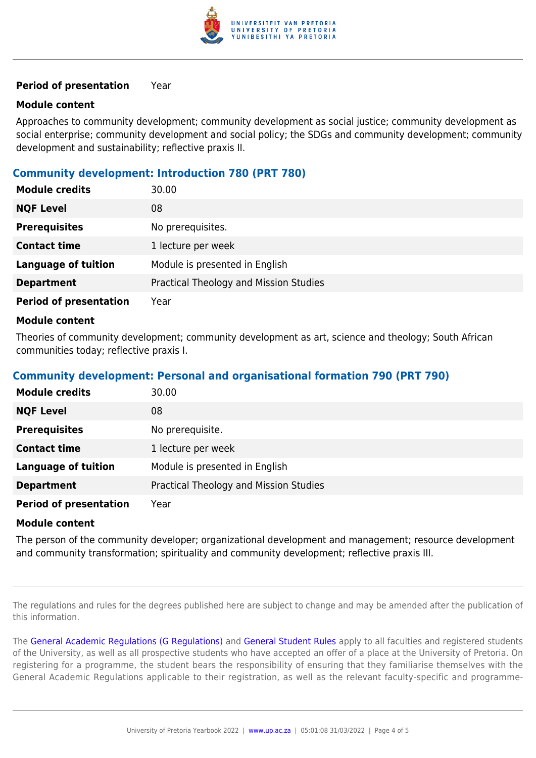

#### **Period of presentation** Year

#### **Module content**

Approaches to community development; community development as social justice; community development as social enterprise; community development and social policy; the SDGs and community development; community development and sustainability; reflective praxis II.

### **Community development: Introduction 780 (PRT 780)**

| <b>Module credits</b>         | 30.00                                  |
|-------------------------------|----------------------------------------|
| <b>NQF Level</b>              | 08                                     |
| <b>Prerequisites</b>          | No prerequisites.                      |
| <b>Contact time</b>           | 1 lecture per week                     |
| <b>Language of tuition</b>    | Module is presented in English         |
| <b>Department</b>             | Practical Theology and Mission Studies |
| <b>Period of presentation</b> | Year                                   |
|                               |                                        |

#### **Module content**

Theories of community development; community development as art, science and theology; South African communities today; reflective praxis I.

### **Community development: Personal and organisational formation 790 (PRT 790)**

| <b>Module credits</b>         | 30.00                                  |
|-------------------------------|----------------------------------------|
| <b>NQF Level</b>              | 08                                     |
| <b>Prerequisites</b>          | No prerequisite.                       |
| <b>Contact time</b>           | 1 lecture per week                     |
| <b>Language of tuition</b>    | Module is presented in English         |
| <b>Department</b>             | Practical Theology and Mission Studies |
| <b>Period of presentation</b> | Year                                   |

#### **Module content**

The person of the community developer; organizational development and management; resource development and community transformation; spirituality and community development; reflective praxis III.

The regulations and rules for the degrees published here are subject to change and may be amended after the publication of this information.

The [General Academic Regulations \(G Regulations\)](https://www.up.ac.za/mechanical-and-aeronautical-engineering/yearbooks/2022/rules/view/REG) and [General Student Rules](https://www.up.ac.za/mechanical-and-aeronautical-engineering/yearbooks/2022/rules/view/RUL) apply to all faculties and registered students of the University, as well as all prospective students who have accepted an offer of a place at the University of Pretoria. On registering for a programme, the student bears the responsibility of ensuring that they familiarise themselves with the General Academic Regulations applicable to their registration, as well as the relevant faculty-specific and programme-